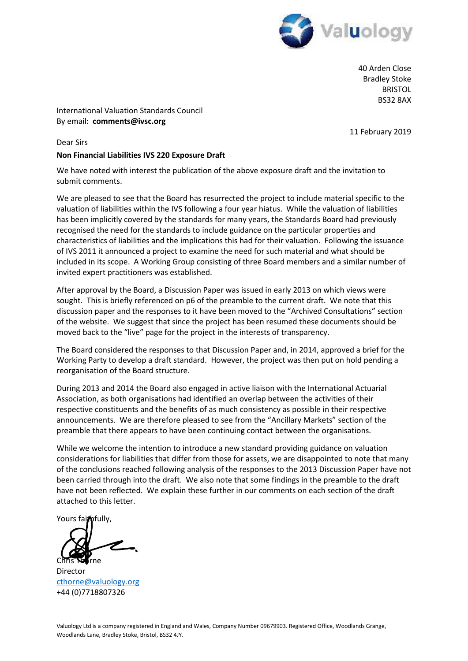

40 Arden Close Bradley Stoke BRISTOL BS32 8AX

International Valuation Standards Council By email: **comments@ivsc.org**

11 February 2019

### Dear Sirs

### **Non Financial Liabilities IVS 220 Exposure Draft**

We have noted with interest the publication of the above exposure draft and the invitation to submit comments.

We are pleased to see that the Board has resurrected the project to include material specific to the valuation of liabilities within the IVS following a four year hiatus. While the valuation of liabilities has been implicitly covered by the standards for many years, the Standards Board had previously recognised the need for the standards to include guidance on the particular properties and characteristics of liabilities and the implications this had for their valuation. Following the issuance of IVS 2011 it announced a project to examine the need for such material and what should be included in its scope. A Working Group consisting of three Board members and a similar number of invited expert practitioners was established.

After approval by the Board, a Discussion Paper was issued in early 2013 on which views were sought. This is briefly referenced on p6 of the preamble to the current draft. We note that this discussion paper and the responses to it have been moved to the "Archived Consultations" section of the website. We suggest that since the project has been resumed these documents should be moved back to the "live" page for the project in the interests of transparency.

The Board considered the responses to that Discussion Paper and, in 2014, approved a brief for the Working Party to develop a draft standard. However, the project was then put on hold pending a reorganisation of the Board structure.

During 2013 and 2014 the Board also engaged in active liaison with the International Actuarial Association, as both organisations had identified an overlap between the activities of their respective constituents and the benefits of as much consistency as possible in their respective announcements. We are therefore pleased to see from the "Ancillary Markets" section of the preamble that there appears to have been continuing contact between the organisations.

While we welcome the intention to introduce a new standard providing guidance on valuation considerations for liabilities that differ from those for assets, we are disappointed to note that many of the conclusions reached following analysis of the responses to the 2013 Discussion Paper have not been carried through into the draft. We also note that some findings in the preamble to the draft have not been reflected. We explain these further in our comments on each section of the draft attached to this letter.

Yours faithfully,

rne)

Director cthorne@valuology.org +44 (0)7718807326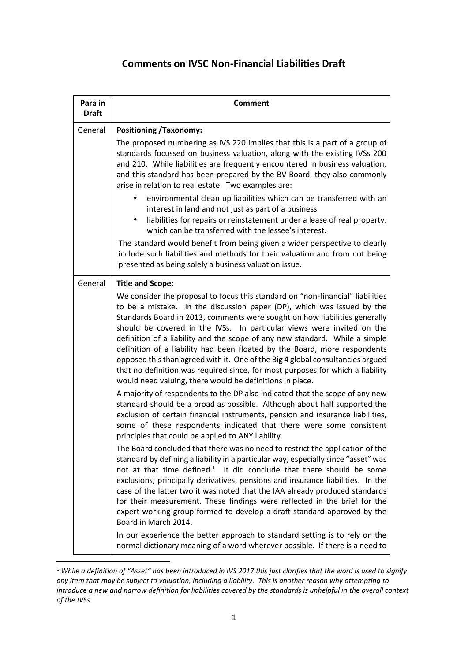# **Comments on IVSC Non-Financial Liabilities Draft**

| Para in<br><b>Draft</b> | <b>Comment</b>                                                                                                                                                                                                                                                                                                                                                                                                                                                                                                                                                                                                                                                                                                                                                                                                                                                                                                                                                                                                                                                                                                                                                                                                                                                                                                                                                                                                                                                                                                                                                                                                                                                                                                                                                                                                                                                                                  |
|-------------------------|-------------------------------------------------------------------------------------------------------------------------------------------------------------------------------------------------------------------------------------------------------------------------------------------------------------------------------------------------------------------------------------------------------------------------------------------------------------------------------------------------------------------------------------------------------------------------------------------------------------------------------------------------------------------------------------------------------------------------------------------------------------------------------------------------------------------------------------------------------------------------------------------------------------------------------------------------------------------------------------------------------------------------------------------------------------------------------------------------------------------------------------------------------------------------------------------------------------------------------------------------------------------------------------------------------------------------------------------------------------------------------------------------------------------------------------------------------------------------------------------------------------------------------------------------------------------------------------------------------------------------------------------------------------------------------------------------------------------------------------------------------------------------------------------------------------------------------------------------------------------------------------------------|
| General                 | <b>Positioning /Taxonomy:</b>                                                                                                                                                                                                                                                                                                                                                                                                                                                                                                                                                                                                                                                                                                                                                                                                                                                                                                                                                                                                                                                                                                                                                                                                                                                                                                                                                                                                                                                                                                                                                                                                                                                                                                                                                                                                                                                                   |
|                         | The proposed numbering as IVS 220 implies that this is a part of a group of<br>standards focussed on business valuation, along with the existing IVSs 200<br>and 210. While liabilities are frequently encountered in business valuation,<br>and this standard has been prepared by the BV Board, they also commonly<br>arise in relation to real estate. Two examples are:                                                                                                                                                                                                                                                                                                                                                                                                                                                                                                                                                                                                                                                                                                                                                                                                                                                                                                                                                                                                                                                                                                                                                                                                                                                                                                                                                                                                                                                                                                                     |
|                         | environmental clean up liabilities which can be transferred with an<br>interest in land and not just as part of a business<br>liabilities for repairs or reinstatement under a lease of real property,<br>which can be transferred with the lessee's interest.                                                                                                                                                                                                                                                                                                                                                                                                                                                                                                                                                                                                                                                                                                                                                                                                                                                                                                                                                                                                                                                                                                                                                                                                                                                                                                                                                                                                                                                                                                                                                                                                                                  |
|                         | The standard would benefit from being given a wider perspective to clearly<br>include such liabilities and methods for their valuation and from not being<br>presented as being solely a business valuation issue.                                                                                                                                                                                                                                                                                                                                                                                                                                                                                                                                                                                                                                                                                                                                                                                                                                                                                                                                                                                                                                                                                                                                                                                                                                                                                                                                                                                                                                                                                                                                                                                                                                                                              |
| General                 | <b>Title and Scope:</b><br>We consider the proposal to focus this standard on "non-financial" liabilities<br>to be a mistake. In the discussion paper (DP), which was issued by the<br>Standards Board in 2013, comments were sought on how liabilities generally<br>should be covered in the IVSs. In particular views were invited on the<br>definition of a liability and the scope of any new standard. While a simple<br>definition of a liability had been floated by the Board, more respondents<br>opposed this than agreed with it. One of the Big 4 global consultancies argued<br>that no definition was required since, for most purposes for which a liability<br>would need valuing, there would be definitions in place.<br>A majority of respondents to the DP also indicated that the scope of any new<br>standard should be a broad as possible. Although about half supported the<br>exclusion of certain financial instruments, pension and insurance liabilities,<br>some of these respondents indicated that there were some consistent<br>principles that could be applied to ANY liability.<br>The Board concluded that there was no need to restrict the application of the<br>standard by defining a liability in a particular way, especially since "asset" was<br>not at that time defined. <sup>1</sup> It did conclude that there should be some<br>exclusions, principally derivatives, pensions and insurance liabilities. In the<br>case of the latter two it was noted that the IAA already produced standards<br>for their measurement. These findings were reflected in the brief for the<br>expert working group formed to develop a draft standard approved by the<br>Board in March 2014.<br>In our experience the better approach to standard setting is to rely on the<br>normal dictionary meaning of a word wherever possible. If there is a need to |

<sup>&</sup>lt;sup>1</sup> While a definition of "Asset" has been introduced in IVS 2017 this just clarifies that the word is used to signify *any item that may be subject to valuation, including a liability. This is another reason why attempting to introduce a new and narrow definition for liabilities covered by the standards is unhelpful in the overall context of the IVSs.*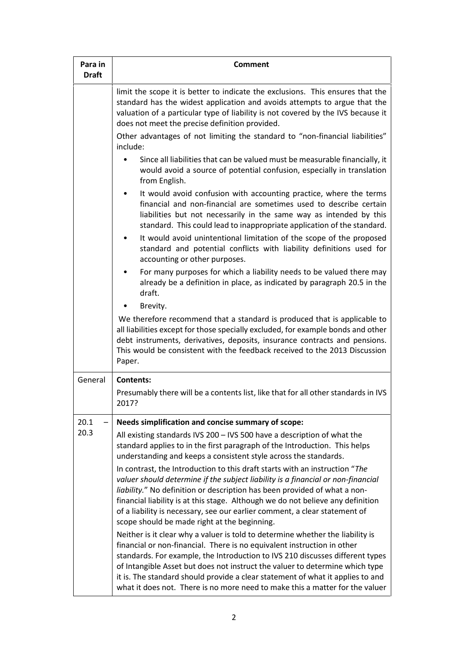| Para in<br><b>Draft</b> | Comment                                                                                                                                                                                                                                                                                                                                                                                                                                                                                      |
|-------------------------|----------------------------------------------------------------------------------------------------------------------------------------------------------------------------------------------------------------------------------------------------------------------------------------------------------------------------------------------------------------------------------------------------------------------------------------------------------------------------------------------|
|                         | limit the scope it is better to indicate the exclusions. This ensures that the<br>standard has the widest application and avoids attempts to argue that the<br>valuation of a particular type of liability is not covered by the IVS because it<br>does not meet the precise definition provided.                                                                                                                                                                                            |
|                         | Other advantages of not limiting the standard to "non-financial liabilities"<br>include:                                                                                                                                                                                                                                                                                                                                                                                                     |
|                         | Since all liabilities that can be valued must be measurable financially, it<br>would avoid a source of potential confusion, especially in translation<br>from English.                                                                                                                                                                                                                                                                                                                       |
|                         | It would avoid confusion with accounting practice, where the terms<br>financial and non-financial are sometimes used to describe certain<br>liabilities but not necessarily in the same way as intended by this<br>standard. This could lead to inappropriate application of the standard.                                                                                                                                                                                                   |
|                         | It would avoid unintentional limitation of the scope of the proposed<br>٠<br>standard and potential conflicts with liability definitions used for<br>accounting or other purposes.                                                                                                                                                                                                                                                                                                           |
|                         | For many purposes for which a liability needs to be valued there may<br>$\bullet$<br>already be a definition in place, as indicated by paragraph 20.5 in the<br>draft.                                                                                                                                                                                                                                                                                                                       |
|                         | Brevity.                                                                                                                                                                                                                                                                                                                                                                                                                                                                                     |
|                         | We therefore recommend that a standard is produced that is applicable to<br>all liabilities except for those specially excluded, for example bonds and other<br>debt instruments, derivatives, deposits, insurance contracts and pensions.<br>This would be consistent with the feedback received to the 2013 Discussion<br>Paper.                                                                                                                                                           |
| General                 | Contents:                                                                                                                                                                                                                                                                                                                                                                                                                                                                                    |
|                         | Presumably there will be a contents list, like that for all other standards in IVS<br>2017?                                                                                                                                                                                                                                                                                                                                                                                                  |
| 20.1                    | Needs simplification and concise summary of scope:                                                                                                                                                                                                                                                                                                                                                                                                                                           |
| 20.3                    | All existing standards IVS 200 - IVS 500 have a description of what the<br>standard applies to in the first paragraph of the Introduction. This helps<br>understanding and keeps a consistent style across the standards.                                                                                                                                                                                                                                                                    |
|                         | In contrast, the Introduction to this draft starts with an instruction "The<br>valuer should determine if the subject liability is a financial or non-financial<br>liability." No definition or description has been provided of what a non-<br>financial liability is at this stage. Although we do not believe any definition<br>of a liability is necessary, see our earlier comment, a clear statement of<br>scope should be made right at the beginning.                                |
|                         | Neither is it clear why a valuer is told to determine whether the liability is<br>financial or non-financial. There is no equivalent instruction in other<br>standards. For example, the Introduction to IVS 210 discusses different types<br>of Intangible Asset but does not instruct the valuer to determine which type<br>it is. The standard should provide a clear statement of what it applies to and<br>what it does not. There is no more need to make this a matter for the valuer |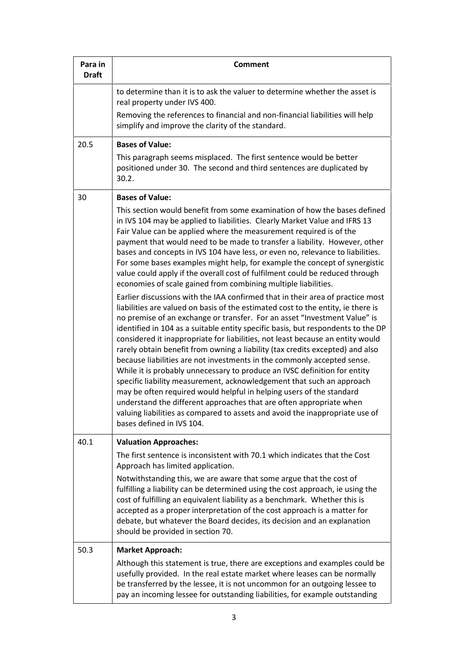| Para in<br><b>Draft</b> | <b>Comment</b>                                                                                                                                                                                                                                                                                                                                                                                                                                                                                                                                                                                                                                                                                                                                                                                                                                                                                                                                                                                                                                                                                                                                                                                                                                                                                                                                                                                                                                                                                                                                                                                                                       |
|-------------------------|--------------------------------------------------------------------------------------------------------------------------------------------------------------------------------------------------------------------------------------------------------------------------------------------------------------------------------------------------------------------------------------------------------------------------------------------------------------------------------------------------------------------------------------------------------------------------------------------------------------------------------------------------------------------------------------------------------------------------------------------------------------------------------------------------------------------------------------------------------------------------------------------------------------------------------------------------------------------------------------------------------------------------------------------------------------------------------------------------------------------------------------------------------------------------------------------------------------------------------------------------------------------------------------------------------------------------------------------------------------------------------------------------------------------------------------------------------------------------------------------------------------------------------------------------------------------------------------------------------------------------------------|
|                         | to determine than it is to ask the valuer to determine whether the asset is<br>real property under IVS 400.                                                                                                                                                                                                                                                                                                                                                                                                                                                                                                                                                                                                                                                                                                                                                                                                                                                                                                                                                                                                                                                                                                                                                                                                                                                                                                                                                                                                                                                                                                                          |
|                         | Removing the references to financial and non-financial liabilities will help<br>simplify and improve the clarity of the standard.                                                                                                                                                                                                                                                                                                                                                                                                                                                                                                                                                                                                                                                                                                                                                                                                                                                                                                                                                                                                                                                                                                                                                                                                                                                                                                                                                                                                                                                                                                    |
| 20.5                    | <b>Bases of Value:</b>                                                                                                                                                                                                                                                                                                                                                                                                                                                                                                                                                                                                                                                                                                                                                                                                                                                                                                                                                                                                                                                                                                                                                                                                                                                                                                                                                                                                                                                                                                                                                                                                               |
|                         | This paragraph seems misplaced. The first sentence would be better<br>positioned under 30. The second and third sentences are duplicated by<br>30.2.                                                                                                                                                                                                                                                                                                                                                                                                                                                                                                                                                                                                                                                                                                                                                                                                                                                                                                                                                                                                                                                                                                                                                                                                                                                                                                                                                                                                                                                                                 |
| 30                      | <b>Bases of Value:</b>                                                                                                                                                                                                                                                                                                                                                                                                                                                                                                                                                                                                                                                                                                                                                                                                                                                                                                                                                                                                                                                                                                                                                                                                                                                                                                                                                                                                                                                                                                                                                                                                               |
|                         | This section would benefit from some examination of how the bases defined<br>in IVS 104 may be applied to liabilities. Clearly Market Value and IFRS 13<br>Fair Value can be applied where the measurement required is of the<br>payment that would need to be made to transfer a liability. However, other<br>bases and concepts in IVS 104 have less, or even no, relevance to liabilities.<br>For some bases examples might help, for example the concept of synergistic<br>value could apply if the overall cost of fulfilment could be reduced through<br>economies of scale gained from combining multiple liabilities.<br>Earlier discussions with the IAA confirmed that in their area of practice most<br>liabilities are valued on basis of the estimated cost to the entity, ie there is<br>no premise of an exchange or transfer. For an asset "Investment Value" is<br>identified in 104 as a suitable entity specific basis, but respondents to the DP<br>considered it inappropriate for liabilities, not least because an entity would<br>rarely obtain benefit from owning a liability (tax credits excepted) and also<br>because liabilities are not investments in the commonly accepted sense.<br>While it is probably unnecessary to produce an IVSC definition for entity<br>specific liability measurement, acknowledgement that such an approach<br>may be often required would helpful in helping users of the standard<br>understand the different approaches that are often appropriate when<br>valuing liabilities as compared to assets and avoid the inappropriate use of<br>bases defined in IVS 104. |
| 40.1                    | <b>Valuation Approaches:</b>                                                                                                                                                                                                                                                                                                                                                                                                                                                                                                                                                                                                                                                                                                                                                                                                                                                                                                                                                                                                                                                                                                                                                                                                                                                                                                                                                                                                                                                                                                                                                                                                         |
|                         | The first sentence is inconsistent with 70.1 which indicates that the Cost<br>Approach has limited application.                                                                                                                                                                                                                                                                                                                                                                                                                                                                                                                                                                                                                                                                                                                                                                                                                                                                                                                                                                                                                                                                                                                                                                                                                                                                                                                                                                                                                                                                                                                      |
|                         | Notwithstanding this, we are aware that some argue that the cost of<br>fulfilling a liability can be determined using the cost approach, ie using the<br>cost of fulfilling an equivalent liability as a benchmark. Whether this is<br>accepted as a proper interpretation of the cost approach is a matter for<br>debate, but whatever the Board decides, its decision and an explanation<br>should be provided in section 70.                                                                                                                                                                                                                                                                                                                                                                                                                                                                                                                                                                                                                                                                                                                                                                                                                                                                                                                                                                                                                                                                                                                                                                                                      |
| 50.3                    | <b>Market Approach:</b>                                                                                                                                                                                                                                                                                                                                                                                                                                                                                                                                                                                                                                                                                                                                                                                                                                                                                                                                                                                                                                                                                                                                                                                                                                                                                                                                                                                                                                                                                                                                                                                                              |
|                         | Although this statement is true, there are exceptions and examples could be<br>usefully provided. In the real estate market where leases can be normally<br>be transferred by the lessee, it is not uncommon for an outgoing lessee to<br>pay an incoming lessee for outstanding liabilities, for example outstanding                                                                                                                                                                                                                                                                                                                                                                                                                                                                                                                                                                                                                                                                                                                                                                                                                                                                                                                                                                                                                                                                                                                                                                                                                                                                                                                |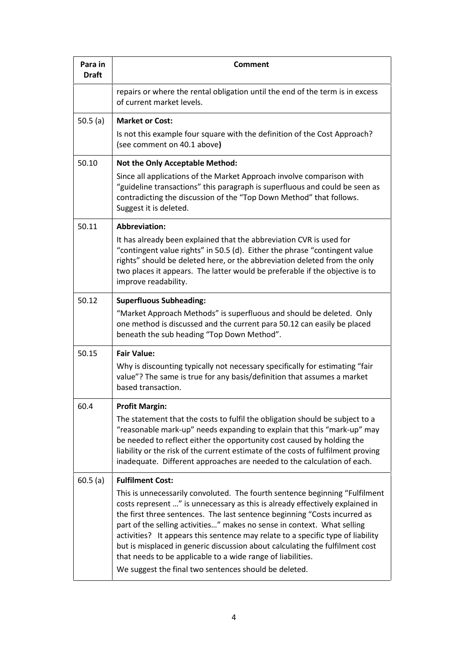| Para in<br><b>Draft</b> | <b>Comment</b>                                                                                                                                                                                                                                                                                                                                                                                                                                                                                                                                                                                                 |
|-------------------------|----------------------------------------------------------------------------------------------------------------------------------------------------------------------------------------------------------------------------------------------------------------------------------------------------------------------------------------------------------------------------------------------------------------------------------------------------------------------------------------------------------------------------------------------------------------------------------------------------------------|
|                         | repairs or where the rental obligation until the end of the term is in excess<br>of current market levels.                                                                                                                                                                                                                                                                                                                                                                                                                                                                                                     |
| 50.5 $(a)$              | <b>Market or Cost:</b>                                                                                                                                                                                                                                                                                                                                                                                                                                                                                                                                                                                         |
|                         | Is not this example four square with the definition of the Cost Approach?<br>(see comment on 40.1 above)                                                                                                                                                                                                                                                                                                                                                                                                                                                                                                       |
| 50.10                   | <b>Not the Only Acceptable Method:</b>                                                                                                                                                                                                                                                                                                                                                                                                                                                                                                                                                                         |
|                         | Since all applications of the Market Approach involve comparison with<br>"guideline transactions" this paragraph is superfluous and could be seen as<br>contradicting the discussion of the "Top Down Method" that follows.<br>Suggest it is deleted.                                                                                                                                                                                                                                                                                                                                                          |
| 50.11                   | <b>Abbreviation:</b>                                                                                                                                                                                                                                                                                                                                                                                                                                                                                                                                                                                           |
|                         | It has already been explained that the abbreviation CVR is used for<br>"contingent value rights" in 50.5 (d). Either the phrase "contingent value<br>rights" should be deleted here, or the abbreviation deleted from the only<br>two places it appears. The latter would be preferable if the objective is to<br>improve readability.                                                                                                                                                                                                                                                                         |
| 50.12                   | <b>Superfluous Subheading:</b>                                                                                                                                                                                                                                                                                                                                                                                                                                                                                                                                                                                 |
|                         | "Market Approach Methods" is superfluous and should be deleted. Only<br>one method is discussed and the current para 50.12 can easily be placed<br>beneath the sub heading "Top Down Method".                                                                                                                                                                                                                                                                                                                                                                                                                  |
| 50.15                   | <b>Fair Value:</b>                                                                                                                                                                                                                                                                                                                                                                                                                                                                                                                                                                                             |
|                         | Why is discounting typically not necessary specifically for estimating "fair<br>value"? The same is true for any basis/definition that assumes a market<br>based transaction.                                                                                                                                                                                                                                                                                                                                                                                                                                  |
| 60.4                    | <b>Profit Margin:</b>                                                                                                                                                                                                                                                                                                                                                                                                                                                                                                                                                                                          |
|                         | The statement that the costs to fulfil the obligation should be subject to a<br>"reasonable mark-up" needs expanding to explain that this "mark-up" may<br>be needed to reflect either the opportunity cost caused by holding the<br>liability or the risk of the current estimate of the costs of fulfilment proving<br>inadequate. Different approaches are needed to the calculation of each.                                                                                                                                                                                                               |
| 60.5(a)                 | <b>Fulfilment Cost:</b>                                                                                                                                                                                                                                                                                                                                                                                                                                                                                                                                                                                        |
|                         | This is unnecessarily convoluted. The fourth sentence beginning "Fulfilment<br>costs represent " is unnecessary as this is already effectively explained in<br>the first three sentences. The last sentence beginning "Costs incurred as<br>part of the selling activities" makes no sense in context. What selling<br>activities? It appears this sentence may relate to a specific type of liability<br>but is misplaced in generic discussion about calculating the fulfilment cost<br>that needs to be applicable to a wide range of liabilities.<br>We suggest the final two sentences should be deleted. |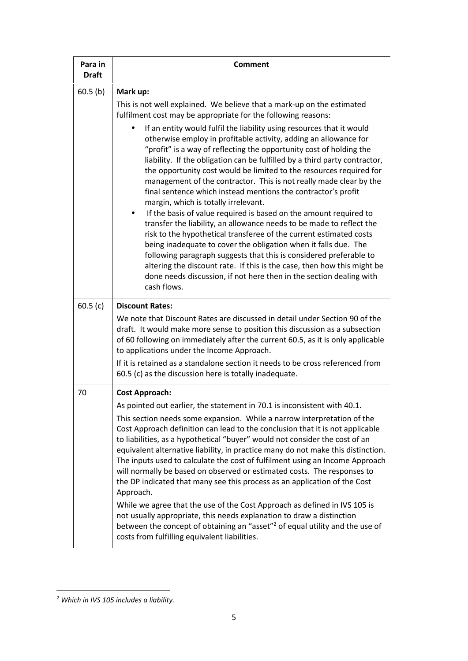| Para in<br><b>Draft</b> | <b>Comment</b>                                                                                                                                                                                                                                                                                                                                                                                                                                                                                                                                                                                                                                                                                                                                                                                                                                                                                                                                                                                                                                                                    |
|-------------------------|-----------------------------------------------------------------------------------------------------------------------------------------------------------------------------------------------------------------------------------------------------------------------------------------------------------------------------------------------------------------------------------------------------------------------------------------------------------------------------------------------------------------------------------------------------------------------------------------------------------------------------------------------------------------------------------------------------------------------------------------------------------------------------------------------------------------------------------------------------------------------------------------------------------------------------------------------------------------------------------------------------------------------------------------------------------------------------------|
| $60.5$ (b)              | Mark up:                                                                                                                                                                                                                                                                                                                                                                                                                                                                                                                                                                                                                                                                                                                                                                                                                                                                                                                                                                                                                                                                          |
|                         | This is not well explained. We believe that a mark-up on the estimated<br>fulfilment cost may be appropriate for the following reasons:                                                                                                                                                                                                                                                                                                                                                                                                                                                                                                                                                                                                                                                                                                                                                                                                                                                                                                                                           |
|                         | If an entity would fulfil the liability using resources that it would<br>otherwise employ in profitable activity, adding an allowance for<br>"profit" is a way of reflecting the opportunity cost of holding the<br>liability. If the obligation can be fulfilled by a third party contractor,<br>the opportunity cost would be limited to the resources required for<br>management of the contractor. This is not really made clear by the<br>final sentence which instead mentions the contractor's profit<br>margin, which is totally irrelevant.<br>If the basis of value required is based on the amount required to<br>transfer the liability, an allowance needs to be made to reflect the<br>risk to the hypothetical transferee of the current estimated costs<br>being inadequate to cover the obligation when it falls due. The<br>following paragraph suggests that this is considered preferable to<br>altering the discount rate. If this is the case, then how this might be<br>done needs discussion, if not here then in the section dealing with<br>cash flows. |
| 60.5(c)                 | <b>Discount Rates:</b>                                                                                                                                                                                                                                                                                                                                                                                                                                                                                                                                                                                                                                                                                                                                                                                                                                                                                                                                                                                                                                                            |
|                         | We note that Discount Rates are discussed in detail under Section 90 of the<br>draft. It would make more sense to position this discussion as a subsection<br>of 60 following on immediately after the current 60.5, as it is only applicable<br>to applications under the Income Approach.                                                                                                                                                                                                                                                                                                                                                                                                                                                                                                                                                                                                                                                                                                                                                                                       |
|                         | If it is retained as a standalone section it needs to be cross referenced from<br>60.5 (c) as the discussion here is totally inadequate.                                                                                                                                                                                                                                                                                                                                                                                                                                                                                                                                                                                                                                                                                                                                                                                                                                                                                                                                          |
| 70                      | <b>Cost Approach:</b>                                                                                                                                                                                                                                                                                                                                                                                                                                                                                                                                                                                                                                                                                                                                                                                                                                                                                                                                                                                                                                                             |
|                         | As pointed out earlier, the statement in 70.1 is inconsistent with 40.1.                                                                                                                                                                                                                                                                                                                                                                                                                                                                                                                                                                                                                                                                                                                                                                                                                                                                                                                                                                                                          |
|                         | This section needs some expansion. While a narrow interpretation of the<br>Cost Approach definition can lead to the conclusion that it is not applicable<br>to liabilities, as a hypothetical "buyer" would not consider the cost of an<br>equivalent alternative liability, in practice many do not make this distinction.<br>The inputs used to calculate the cost of fulfilment using an Income Approach<br>will normally be based on observed or estimated costs. The responses to<br>the DP indicated that many see this process as an application of the Cost<br>Approach.                                                                                                                                                                                                                                                                                                                                                                                                                                                                                                  |
|                         | While we agree that the use of the Cost Approach as defined in IVS 105 is<br>not usually appropriate, this needs explanation to draw a distinction<br>between the concept of obtaining an "asset" <sup>2</sup> of equal utility and the use of<br>costs from fulfilling equivalent liabilities.                                                                                                                                                                                                                                                                                                                                                                                                                                                                                                                                                                                                                                                                                                                                                                                   |

<sup>2</sup> *Which in IVS 105 includes a liability.*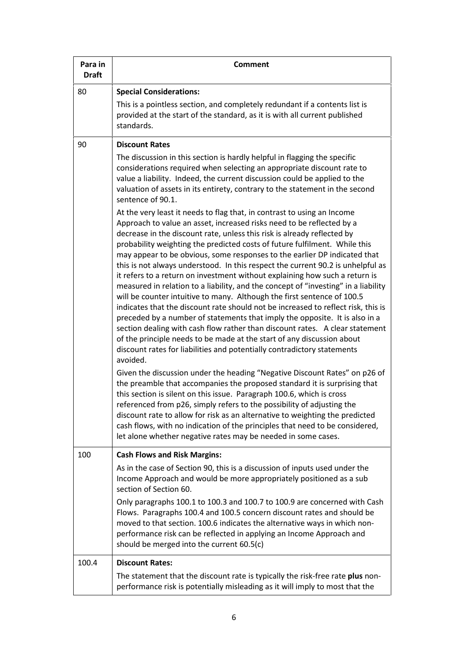| Para in<br><b>Draft</b> | <b>Comment</b>                                                                                                                                                                                                                                                                                                                                                                                                                                                                                                                                                                                                                                                                                                                                                                                                                                                                                                                                                                                                                                                                                                                                                                                                                                                                                                                                                                                                                                                                                                                                                                                                                                                                                |
|-------------------------|-----------------------------------------------------------------------------------------------------------------------------------------------------------------------------------------------------------------------------------------------------------------------------------------------------------------------------------------------------------------------------------------------------------------------------------------------------------------------------------------------------------------------------------------------------------------------------------------------------------------------------------------------------------------------------------------------------------------------------------------------------------------------------------------------------------------------------------------------------------------------------------------------------------------------------------------------------------------------------------------------------------------------------------------------------------------------------------------------------------------------------------------------------------------------------------------------------------------------------------------------------------------------------------------------------------------------------------------------------------------------------------------------------------------------------------------------------------------------------------------------------------------------------------------------------------------------------------------------------------------------------------------------------------------------------------------------|
| 80                      | <b>Special Considerations:</b><br>This is a pointless section, and completely redundant if a contents list is<br>provided at the start of the standard, as it is with all current published<br>standards.                                                                                                                                                                                                                                                                                                                                                                                                                                                                                                                                                                                                                                                                                                                                                                                                                                                                                                                                                                                                                                                                                                                                                                                                                                                                                                                                                                                                                                                                                     |
| 90                      | <b>Discount Rates</b>                                                                                                                                                                                                                                                                                                                                                                                                                                                                                                                                                                                                                                                                                                                                                                                                                                                                                                                                                                                                                                                                                                                                                                                                                                                                                                                                                                                                                                                                                                                                                                                                                                                                         |
|                         | The discussion in this section is hardly helpful in flagging the specific<br>considerations required when selecting an appropriate discount rate to<br>value a liability. Indeed, the current discussion could be applied to the<br>valuation of assets in its entirety, contrary to the statement in the second<br>sentence of 90.1.                                                                                                                                                                                                                                                                                                                                                                                                                                                                                                                                                                                                                                                                                                                                                                                                                                                                                                                                                                                                                                                                                                                                                                                                                                                                                                                                                         |
|                         | At the very least it needs to flag that, in contrast to using an Income<br>Approach to value an asset, increased risks need to be reflected by a<br>decrease in the discount rate, unless this risk is already reflected by<br>probability weighting the predicted costs of future fulfilment. While this<br>may appear to be obvious, some responses to the earlier DP indicated that<br>this is not always understood. In this respect the current 90.2 is unhelpful as<br>it refers to a return on investment without explaining how such a return is<br>measured in relation to a liability, and the concept of "investing" in a liability<br>will be counter intuitive to many. Although the first sentence of 100.5<br>indicates that the discount rate should not be increased to reflect risk, this is<br>preceded by a number of statements that imply the opposite. It is also in a<br>section dealing with cash flow rather than discount rates. A clear statement<br>of the principle needs to be made at the start of any discussion about<br>discount rates for liabilities and potentially contradictory statements<br>avoided.<br>Given the discussion under the heading "Negative Discount Rates" on p26 of<br>the preamble that accompanies the proposed standard it is surprising that<br>this section is silent on this issue. Paragraph 100.6, which is cross<br>referenced from p26, simply refers to the possibility of adjusting the<br>discount rate to allow for risk as an alternative to weighting the predicted<br>cash flows, with no indication of the principles that need to be considered,<br>let alone whether negative rates may be needed in some cases. |
| 100                     | <b>Cash Flows and Risk Margins:</b>                                                                                                                                                                                                                                                                                                                                                                                                                                                                                                                                                                                                                                                                                                                                                                                                                                                                                                                                                                                                                                                                                                                                                                                                                                                                                                                                                                                                                                                                                                                                                                                                                                                           |
|                         | As in the case of Section 90, this is a discussion of inputs used under the<br>Income Approach and would be more appropriately positioned as a sub<br>section of Section 60.                                                                                                                                                                                                                                                                                                                                                                                                                                                                                                                                                                                                                                                                                                                                                                                                                                                                                                                                                                                                                                                                                                                                                                                                                                                                                                                                                                                                                                                                                                                  |
|                         | Only paragraphs 100.1 to 100.3 and 100.7 to 100.9 are concerned with Cash<br>Flows. Paragraphs 100.4 and 100.5 concern discount rates and should be<br>moved to that section. 100.6 indicates the alternative ways in which non-<br>performance risk can be reflected in applying an Income Approach and<br>should be merged into the current 60.5(c)                                                                                                                                                                                                                                                                                                                                                                                                                                                                                                                                                                                                                                                                                                                                                                                                                                                                                                                                                                                                                                                                                                                                                                                                                                                                                                                                         |
| 100.4                   | <b>Discount Rates:</b>                                                                                                                                                                                                                                                                                                                                                                                                                                                                                                                                                                                                                                                                                                                                                                                                                                                                                                                                                                                                                                                                                                                                                                                                                                                                                                                                                                                                                                                                                                                                                                                                                                                                        |
|                         | The statement that the discount rate is typically the risk-free rate plus non-<br>performance risk is potentially misleading as it will imply to most that the                                                                                                                                                                                                                                                                                                                                                                                                                                                                                                                                                                                                                                                                                                                                                                                                                                                                                                                                                                                                                                                                                                                                                                                                                                                                                                                                                                                                                                                                                                                                |